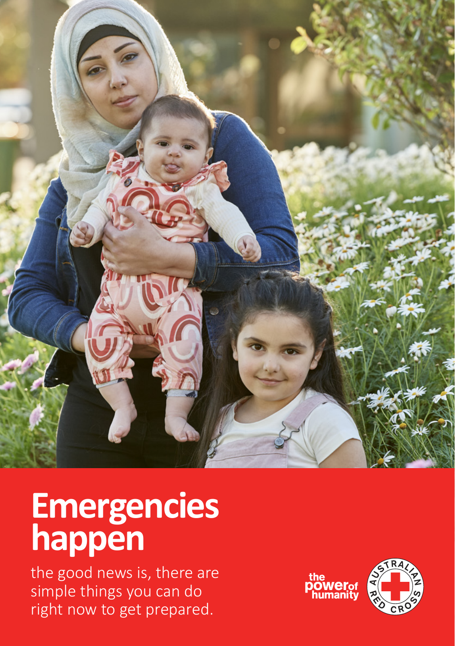

## **Emergencies happen**

the good news is, there are simple things you can do right now to get prepared.